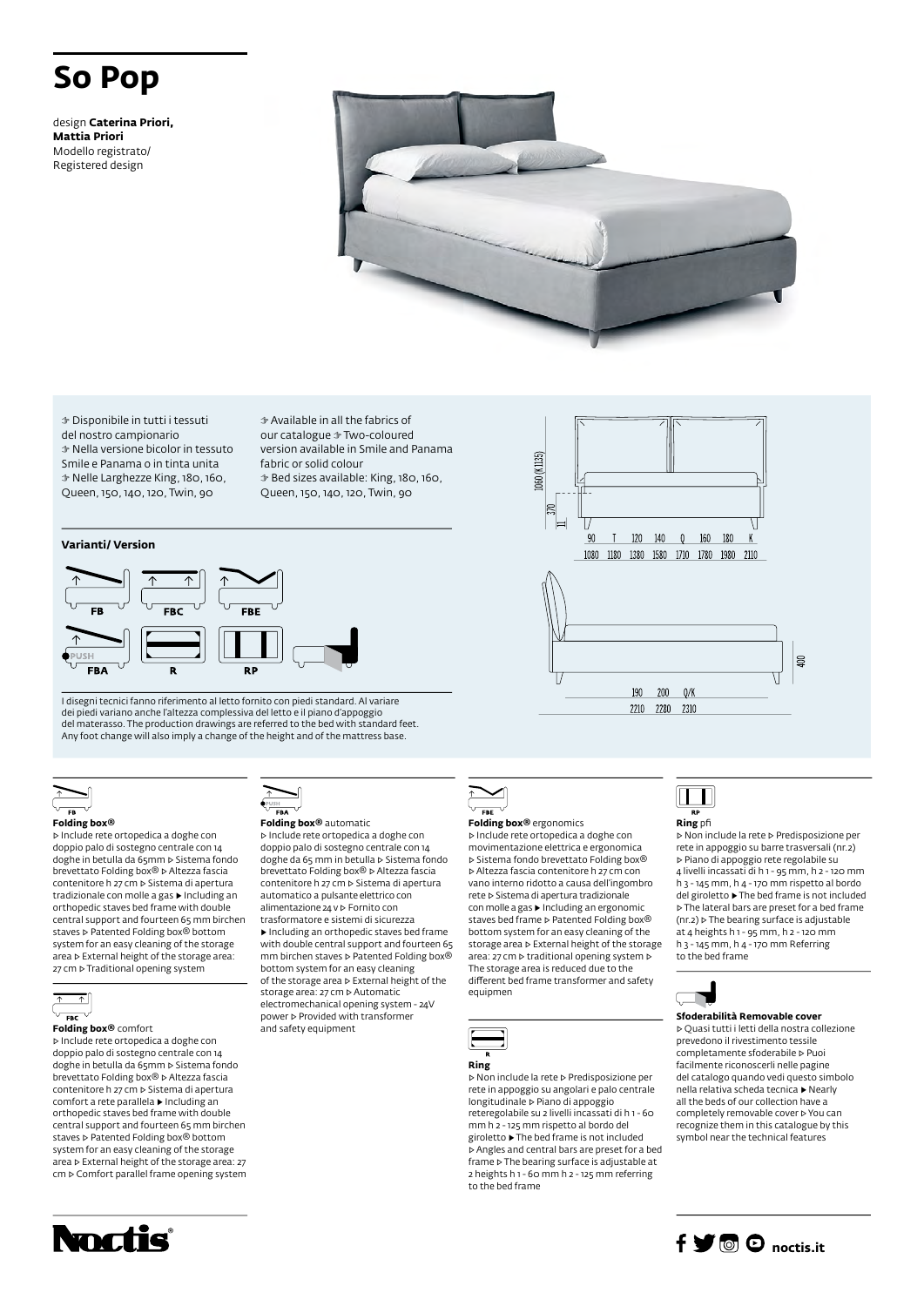# **So Pop**

design **Caterina Priori, Mattia Priori** Modello registrato/ Registered design



.060 (K1135)

☞ Disponibile in tutti i tessuti del nostro campionario ☞ Nella versione bicolor in tessuto Smile e Panama o in tinta unita ☞ Nelle Larghezze King, 180, 160, Queen, 150, 140, 120, Twin, 90

☞ Available in all the fabrics of our catalogue ☞ Two-coloured version available in Smile and Panama fabric or solid colour ☞ Bed sizes available: King, 180, 160, Queen, 150, 140, 120, Twin, 90

### **Varianti/ Version**



I disegni tecnici fanno riferimento al letto fornito con piedi standard. Al variare dei piedi variano anche l'altezza complessiva del letto e il piano d'appoggio del materasso. The production drawings are referred to the bed with standard feet. Any foot change will also imply a change of the height and of the mattress base.



### **Folding box®**

▷ Include rete ortopedica a doghe con doppio palo di sostegno centrale con 14 doghe in betulla da 65mm ▷ Sistema fondo brevettato Folding box® ▷ Altezza fascia contenitore h 27 cm ▷ Sistema di apertura tradizionale con molle a gas ▶ Including an orthopedic staves bed frame with double central support and fourteen 65 mm birchen staves **▷ Patented Folding box®** bottom system for an easy cleaning of the storage area ▷ External height of the storage area: 27 cm ⊳ Traditional opening system



▷ Include rete ortopedica a doghe con doppio palo di sostegno centrale con 14 doghe in betulla da 65mm ⊳ Sistema fondo<br>brevettato Folding box® ⊳ Altezza fascia contenitore h 27 cm ▷ Sistema di apertura comfort a rete parallela ▶ Including an orthopedic staves bed frame with double central support and fourteen 65 mm birchen staves ▷ Patented Folding box® bottom

system for an easy cleaning of the storage area ▷ External height of the storage area: 27 cm ▷ Comfort parallel frame opening system



### **Folding box®** automatic

and safety equipment

▷ Include rete ortopedica a doghe con doppio palo di sostegno centrale con 14 doghe da 65 mm in betulla ▷ Sistema fondo brevettato Folding box® ▷ Altezza fascia contenitore h 27 cm ▷ Sistema di apertura automatico a pulsante elettrico con alimentazione 24 v ▷ Fornito con trasformatore e sistemi di sicurezza ▶ Including an orthopedic staves bed frame with double central support and fourteen 65 mm birchen staves ▷ Patented Folding box® bottom system for an easy cleaning of the storage area ▷ External height of the storage area: 27 cm ▷ Automatic electromechanical opening system - 24V power ▷ Provided with transformer



### **Folding box®** ergonomics

▷ Include rete ortopedica a doghe con movimentazione elettrica e ergonomica ▷ Sistema fondo brevettato Folding box® ▷ Altezza fascia contenitore h 27 cm con vano interno ridotto a causa dell'ingombro rete ▷ Sistema di apertura tradizionale con molle a gas ▶ Including an ergonomic staves bed frame ▷ Patented Folding box® bottom system for an easy cleaning of the storage area ▷ External height of the storage area: 27 cm ▷ traditional opening system ▷ The storage area is reduced due to the different bed frame transformer and safety equipmen



▷ Non include la rete ▷ Predisposizione per rete in appoggio su angolari e palo centrale longitudinale ▷ Piano di appoggio reteregolabile su 2 livelli incassati di h 1 - 60 mm h 2 - 125 mm rispetto al bordo del giroletto ▶ The bed frame is not included ▷ Angles and central bars are preset for a bed frame ▷ The bearing surface is adjustable at 2 heights h 1 - 60 mm h 2 - 125 mm referring to the bed frame





▷ Non include la rete ▷ Predisposizione per rete in appoggio su barre trasversali (nr.2) ▷ Piano di appoggio rete regolabile su 4 livelli incassati di h 1 - 95 mm, h 2 - 120 mm h 3 - 145 mm, h 4 - 170 mm rispetto al bordo del giroletto ▶ The bed frame is not included ▷ The lateral bars are preset for a bed frame (nr.2) ▷ The bearing surface is adjustable at 4 heights h 1 - 95 mm, h 2 - 120 mm h 3 - 145 mm, h 4 - 170 mm Referring to the bed frame



### **Sfoderabilità Removable cover**

▷ Quasi tutti i letti della nostra collezione prevedono il rivestimento tessile completamente sfoderabile ▷ Puoi facilmente riconoscerli nelle pagine del catalogo quando vedi questo simbolo nella relativa scheda tecnica ▶ Nearly all the beds of our collection have a completely removable cover ▷ You can recognize them in this catalogue by this symbol near the technical features